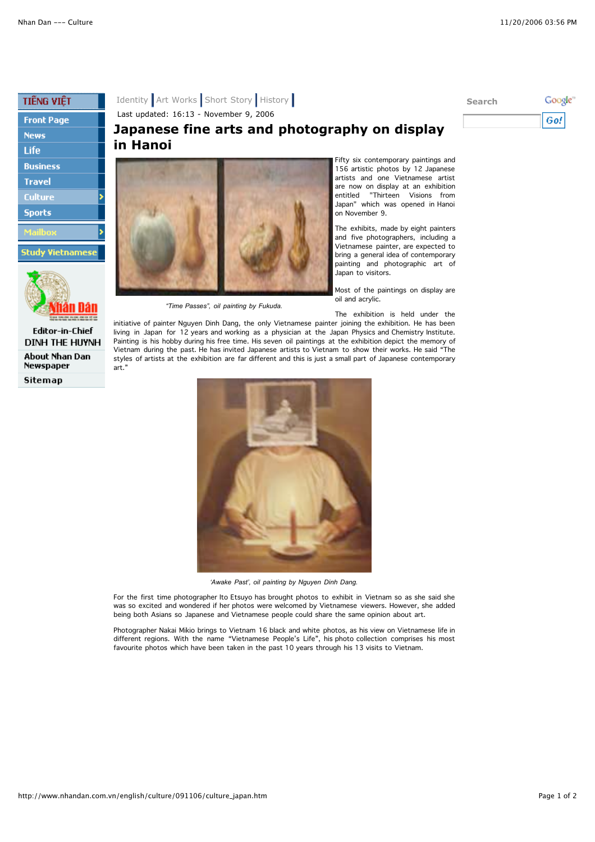Google

Go!

**Search**





**Study Vietnamese** 



**Editor-in-Chief DINH THE HUYNH About Nhan Dan Newspaper Sitemap** 

## Identity Art Works Short Story History

Last updated: 16:13 - November 9, 2006

## **Japanese fine arts and photography on display in Hanoi**



*"Time Passes", oil painting by Fukuda.*

Fifty six contemporary paintings and 156 artistic photos by 12 Japanese artists and one Vietnamese artist are now on display at an exhibition entitled "Thirteen Visions from Japan" which was opened in Hanoi on November 9.

The exhibits, made by eight painters and five photographers, including a Vietnamese painter, are expected to bring a general idea of contemporary painting and photographic art of Japan to visitors.

Most of the paintings on display are oil and acrylic.

The exhibition is held under the

initiative of painter Nguyen Dinh Dang, the only Vietnamese painter joining the exhibition. He has been living in Japan for 12 years and working as a physician at the Japan Physics and Chemistry Institute. Painting is his hobby during his free time. His seven oil paintings at the exhibition depict the memory of Vietnam during the past. He has invited Japanese artists to Vietnam to show their works. He said "The styles of artists at the exhibition are far different and this is just a small part of Japanese contemporary art."



*'Awake Past', oil painting by Nguyen Dinh Dang.*

For the first time photographer Ito Etsuyo has brought photos to exhibit in Vietnam so as she said she was so excited and wondered if her photos were welcomed by Vietnamese viewers. However, she added being both Asians so Japanese and Vietnamese people could share the same opinion about art.

Photographer Nakai Mikio brings to Vietnam 16 black and white photos, as his view on Vietnamese life in different regions. With the name "Vietnamese People's Life", his photo collection comprises his most favourite photos which have been taken in the past 10 years through his 13 visits to Vietnam.